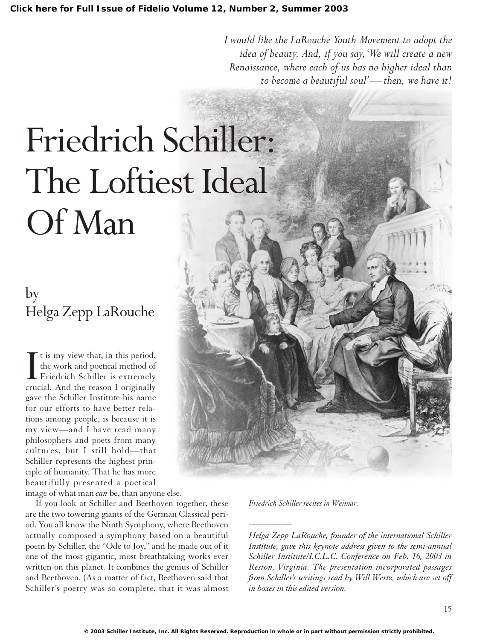*I would like the LaRouche Youth Movement to adopt the idea of beauty. And, if you say,'We will create a new Renaissance, where each of us has no higher ideal than to become a beautiful soul'—then, we have it!*

# Friedrich Schiller: The Loftiest Ideal Of Man

# by Helga Zepp LaRouche

It is my view that, in this period,<br>the work and poetical method of<br>Friedrich Schiller is extremely<br>crucial. And the reason I originally t is my view that, in this period, the work and poetical method of **Friedrich Schiller is extremely** gave the Schiller Institute his name for our efforts to have better relations among people, is because it is my view—and I have read many philosophers and poets from many cultures, but I still hold—that Schiller represents the highest principle of humanity. That he has more beautifully presented a poetical image of what man *can* be, than anyone else.

If you look at Schiller and Beethoven together, these are the two towering giants of the German Classical period. You all know the Ninth Symphony, where Beethoven actually composed a symphony based on a beautiful poem by Schiller, the "Ode to Joy," and he made out of it one of the most gigantic, most breathtaking works ever written on this planet. It combines the genius of Schiller and Beethoven. (As a matter of fact, Beethoven said that Schiller's poetry was so complete, that it was almost *Friedrich Schiller recites in Weimar.*

*Helga Zepp LaRouche, founder of the international Schiller Institute, gave this keynote address given to the semi-annual Schiller Institute/I.C.L.C. Conference on Feb. 16, 2003 in Reston, Virginia. The presentation incorporated passages from Schiller's writings read by Will Wertz, which are set off in boxes in this edited version.*

*\_\_\_\_\_\_\_\_\_\_*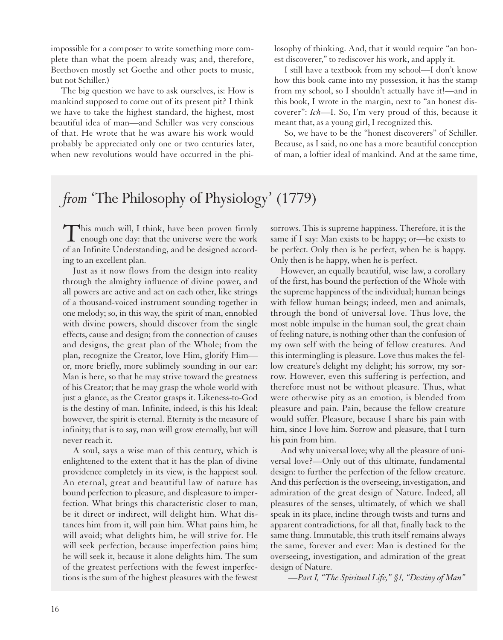impossible for a composer to write something more complete than what the poem already was; and, therefore, Beethoven mostly set Goethe and other poets to music, but not Schiller.)

The big question we have to ask ourselves, is: How is mankind supposed to come out of its present pit? I think we have to take the highest standard, the highest, most beautiful idea of man—and Schiller was very conscious of that. He wrote that he was aware his work would probably be appreciated only one or two centuries later, when new revolutions would have occurred in the philosophy of thinking. And, that it would require "an honest discoverer," to rediscover his work, and apply it.

I still have a textbook from my school—I don't know how this book came into my possession, it has the stamp from my school, so I shouldn't actually have it!—and in this book, I wrote in the margin, next to "an honest discoverer": *Ich*—I. So, I'm very proud of this, because it meant that, as a young girl, I recognized this.

So, we have to be the "honest discoverers" of Schiller. Because, as I said, no one has a more beautiful conception of man, a loftier ideal of mankind. And at the same time,

## *from* 'The Philosophy of Physiology' (1779)

This much will, I think, have been proven firmly  $\perp$  enough one day: that the universe were the work of an Infinite Understanding, and be designed according to an excellent plan.

Just as it now flows from the design into reality through the almighty influence of divine power, and all powers are active and act on each other, like strings of a thousand-voiced instrument sounding together in one melody; so, in this way, the spirit of man, ennobled with divine powers, should discover from the single effects, cause and design; from the connection of causes and designs, the great plan of the Whole; from the plan, recognize the Creator, love Him, glorify Him or, more briefly, more sublimely sounding in our ear: Man is here, so that he may strive toward the greatness of his Creator; that he may grasp the whole world with just a glance, as the Creator grasps it. Likeness-to-God is the destiny of man. Infinite, indeed, is this his Ideal; however, the spirit is eternal. Eternity is the measure of infinity; that is to say, man will grow eternally, but will never reach it.

A soul, says a wise man of this century, which is enlightened to the extent that it has the plan of divine providence completely in its view, is the happiest soul. An eternal, great and beautiful law of nature has bound perfection to pleasure, and displeasure to imperfection. What brings this characteristic closer to man, be it direct or indirect, will delight him. What distances him from it, will pain him. What pains him, he will avoid; what delights him, he will strive for. He will seek perfection, because imperfection pains him; he will seek it, because it alone delights him. The sum of the greatest perfections with the fewest imperfections is the sum of the highest pleasures with the fewest

sorrows. This is supreme happiness. Therefore, it is the same if I say: Man exists to be happy; or—he exists to be perfect. Only then is he perfect, when he is happy. Only then is he happy, when he is perfect.

However, an equally beautiful, wise law, a corollary of the first, has bound the perfection of the Whole with the supreme happiness of the individual; human beings with fellow human beings; indeed, men and animals, through the bond of universal love. Thus love, the most noble impulse in the human soul, the great chain of feeling nature, is nothing other than the confusion of my own self with the being of fellow creatures. And this intermingling is pleasure. Love thus makes the fellow creature's delight my delight; his sorrow, my sorrow. However, even this suffering is perfection, and therefore must not be without pleasure. Thus, what were otherwise pity as an emotion, is blended from pleasure and pain. Pain, because the fellow creature would suffer. Pleasure, because I share his pain with him, since I love him. Sorrow and pleasure, that I turn his pain from him.

And why universal love; why all the pleasure of universal love?—Only out of this ultimate, fundamental design: to further the perfection of the fellow creature. And this perfection is the overseeing, investigation, and admiration of the great design of Nature. Indeed, all pleasures of the senses, ultimately, of which we shall speak in its place, incline through twists and turns and apparent contradictions, for all that, finally back to the same thing. Immutable, this truth itself remains always the same, forever and ever: Man is destined for the overseeing, investigation, and admiration of the great design of Nature.

*—Part I, "The Spiritual Life," §1, "Destiny of Man"*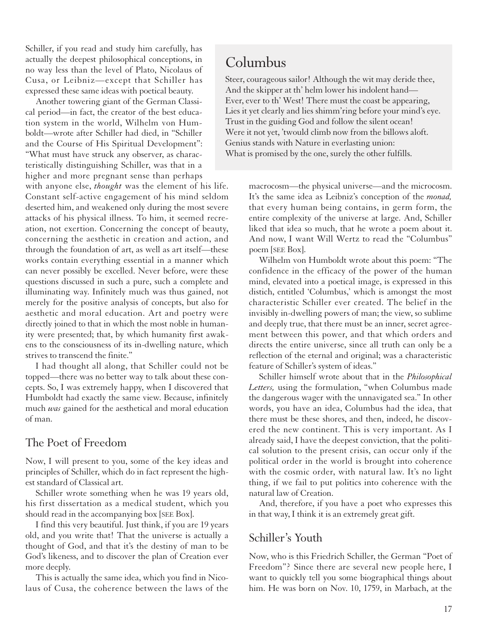Schiller, if you read and study him carefully, has actually the deepest philosophical conceptions, in no way less than the level of Plato, Nicolaus of Cusa, or Leibniz—except that Schiller has expressed these same ideas with poetical beauty.

Another towering giant of the German Classical period—in fact, the creator of the best education system in the world, Wilhelm von Humboldt—wrote after Schiller had died, in "Schiller and the Course of His Spiritual Development": "What must have struck any observer, as characteristically distinguishing Schiller, was that in a higher and more pregnant sense than perhaps

with anyone else, *thought* was the element of his life. Constant self-active engagement of his mind seldom deserted him, and weakened only during the most severe attacks of his physical illness. To him, it seemed recreation, not exertion. Concerning the concept of beauty, concerning the aesthetic in creation and action, and through the foundation of art, as well as art itself—these works contain everything essential in a manner which can never possibly be excelled. Never before, were these questions discussed in such a pure, such a complete and illuminating way. Infinitely much was thus gained, not merely for the positive analysis of concepts, but also for aesthetic and moral education. Art and poetry were directly joined to that in which the most noble in humanity were presented; that, by which humanity first awakens to the consciousness of its in-dwelling nature, which strives to transcend the finite."

I had thought all along, that Schiller could not be topped—there was no better way to talk about these concepts. So, I was extremely happy, when I discovered that Humboldt had exactly the same view. Because, infinitely much *was* gained for the aesthetical and moral education of man.

#### The Poet of Freedom

Now, I will present to you, some of the key ideas and principles of Schiller, which do in fact represent the highest standard of Classical art.

Schiller wrote something when he was 19 years old, his first dissertation as a medical student, which you should read in the accompanying box [SEE Box].

I find this very beautiful. Just think, if you are 19 years old, and you write that! That the universe is actually a thought of God, and that it's the destiny of man to be God's likeness, and to discover the plan of Creation ever more deeply.

This is actually the same idea, which you find in Nicolaus of Cusa, the coherence between the laws of the

## Columbus

Steer, courageous sailor! Although the wit may deride thee, And the skipper at th' helm lower his indolent hand— Ever, ever to th' West! There must the coast be appearing, Lies it yet clearly and lies shimm'ring before your mind's eye. Trust in the guiding God and follow the silent ocean! Were it not yet, 'twould climb now from the billows aloft. Genius stands with Nature in everlasting union: What is promised by the one, surely the other fulfills.

> macrocosm—the physical universe—and the microcosm. It's the same idea as Leibniz's conception of the *monad,* that every human being contains, in germ form, the entire complexity of the universe at large. And, Schiller liked that idea so much, that he wrote a poem about it. And now, I want Will Wertz to read the "Columbus" poem [SEE Box].

> Wilhelm von Humboldt wrote about this poem: "The confidence in the efficacy of the power of the human mind, elevated into a poetical image, is expressed in this distich, entitled 'Columbus,' which is amongst the most characteristic Schiller ever created. The belief in the invisibly in-dwelling powers of man; the view, so sublime and deeply true, that there must be an inner, secret agreement between this power, and that which orders and directs the entire universe, since all truth can only be a reflection of the eternal and original; was a characteristic feature of Schiller's system of ideas."

> Schiller himself wrote about that in the *Philosophical Letters,* using the formulation, "when Columbus made the dangerous wager with the unnavigated sea." In other words, you have an idea, Columbus had the idea, that there must be these shores, and then, indeed, he discovered the new continent. This is very important. As I already said, I have the deepest conviction, that the political solution to the present crisis, can occur only if the political order in the world is brought into coherence with the cosmic order, with natural law. It's no light thing, if we fail to put politics into coherence with the natural law of Creation.

> And, therefore, if you have a poet who expresses this in that way, I think it is an extremely great gift.

## Schiller's Youth

Now, who is this Friedrich Schiller, the German "Poet of Freedom"? Since there are several new people here, I want to quickly tell you some biographical things about him. He was born on Nov. 10, 1759, in Marbach, at the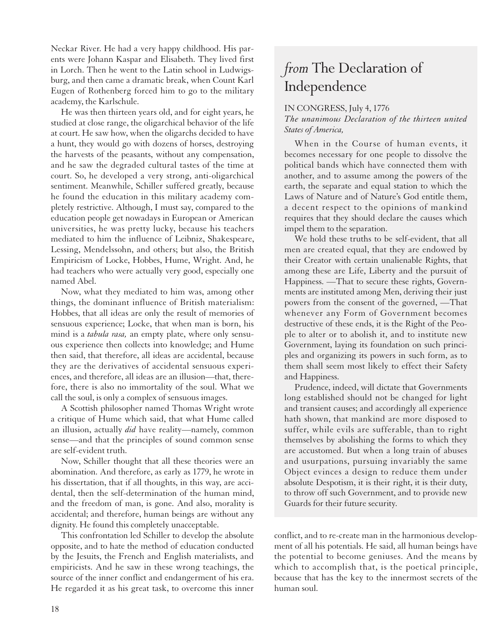Neckar River. He had a very happy childhood. His parents were Johann Kaspar and Elisabeth. They lived first in Lorch. Then he went to the Latin school in Ludwigsburg, and then came a dramatic break, when Count Karl Eugen of Rothenberg forced him to go to the military academy, the Karlschule.

He was then thirteen years old, and for eight years, he studied at close range, the oligarchical behavior of the life at court. He saw how, when the oligarchs decided to have a hunt, they would go with dozens of horses, destroying the harvests of the peasants, without any compensation, and he saw the degraded cultural tastes of the time at court. So, he developed a very strong, anti-oligarchical sentiment. Meanwhile, Schiller suffered greatly, because he found the education in this military academy completely restrictive. Although, I must say, compared to the education people get nowadays in European or American universities, he was pretty lucky, because his teachers mediated to him the influence of Leibniz, Shakespeare, Lessing, Mendelssohn, and others; but also, the British Empiricism of Locke, Hobbes, Hume, Wright. And, he had teachers who were actually very good, especially one named Abel.

Now, what they mediated to him was, among other things, the dominant influence of British materialism: Hobbes, that all ideas are only the result of memories of sensuous experience; Locke, that when man is born, his mind is a *tabula rasa,* an empty plate, where only sensuous experience then collects into knowledge; and Hume then said, that therefore, all ideas are accidental, because they are the derivatives of accidental sensuous experiences, and therefore, all ideas are an illusion—that, therefore, there is also no immortality of the soul. What we call the soul, is only a complex of sensuous images.

A Scottish philosopher named Thomas Wright wrote a critique of Hume which said, that what Hume called an illusion, actually *did* have reality—namely, common sense—and that the principles of sound common sense are self-evident truth.

Now, Schiller thought that all these theories were an abomination. And therefore, as early as 1779, he wrote in his dissertation, that if all thoughts, in this way, are accidental, then the self-determination of the human mind, and the freedom of man, is gone. And also, morality is accidental; and therefore, human beings are without any dignity. He found this completely unacceptable.

This confrontation led Schiller to develop the absolute opposite, and to hate the method of education conducted by the Jesuits, the French and English materialists, and empiricists. And he saw in these wrong teachings, the source of the inner conflict and endangerment of his era. He regarded it as his great task, to overcome this inner

# *from* The Declaration of Independence

#### IN CONGRESS, July 4, 1776

*The unanimous Declaration of the thirteen united States of America,*

When in the Course of human events, it becomes necessary for one people to dissolve the political bands which have connected them with another, and to assume among the powers of the earth, the separate and equal station to which the Laws of Nature and of Nature's God entitle them, a decent respect to the opinions of mankind requires that they should declare the causes which impel them to the separation.

We hold these truths to be self-evident, that all men are created equal, that they are endowed by their Creator with certain unalienable Rights, that among these are Life, Liberty and the pursuit of Happiness. —That to secure these rights, Governments are instituted among Men, deriving their just powers from the consent of the governed, —That whenever any Form of Government becomes destructive of these ends, it is the Right of the People to alter or to abolish it, and to institute new Government, laying its foundation on such principles and organizing its powers in such form, as to them shall seem most likely to effect their Safety and Happiness.

Prudence, indeed, will dictate that Governments long established should not be changed for light and transient causes; and accordingly all experience hath shown, that mankind are more disposed to suffer, while evils are sufferable, than to right themselves by abolishing the forms to which they are accustomed. But when a long train of abuses and usurpations, pursuing invariably the same Object evinces a design to reduce them under absolute Despotism, it is their right, it is their duty, to throw off such Government, and to provide new Guards for their future security.

conflict, and to re-create man in the harmonious development of all his potentials. He said, all human beings have the potential to become geniuses. And the means by which to accomplish that, is the poetical principle, because that has the key to the innermost secrets of the human soul.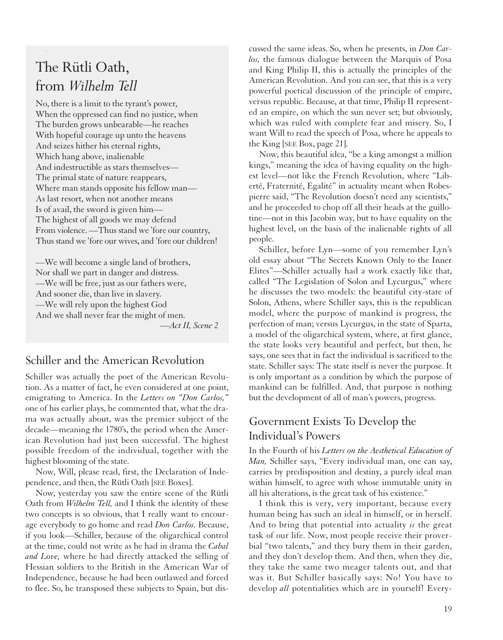## The Rütli Oath, from *Wilhelm Tell*

'

No, there is a limit to the tyrant's power, When the oppressed can find no justice, when The burden grows unbearable—he reaches With hopeful courage up unto the heavens And seizes hither his eternal rights, Which hang above, inalienable And indestructible as stars themselves— The primal state of nature reappears, Where man stands opposite his fellow man— As last resort, when not another means Is of avail, the sword is given him— The highest of all goods we may defend From violence. —Thus stand we 'fore our country, Thus stand we 'fore our wives, and 'fore our children!

—We will become a single land of brothers, Nor shall we part in danger and distress. —We will be free, just as our fathers were, And sooner die, than live in slavery. —We will rely upon the highest God And we shall never fear the might of men. *—Act II, Scene 2*

#### Schiller and the American Revolution

Schiller was actually the poet of the American Revolution. As a matter of fact, he even considered at one point, emigrating to America. In the *Letters on "Don Carlos,"* one of his earlier plays, he commented that, what the drama was actually about, was the premier subject of the decade—meaning the 1780's, the period when the American Revolution had just been successful. The highest possible freedom of the individual, together with the highest blooming of the state.

Now, Will, please read, first, the Declaration of Independence, and then, the Rütli Oath [SEE Boxes].

Now, yesterday you saw the entire scene of the Rütli Oath from *Wilhelm Tell,* and I think the identity of these two concepts is so obvious, that I really want to encourage everybody to go home and read *Don Carlos.* Because, if you look—Schiller, because of the oligarchical control at the time, could not write as he had in drama the *Cabal and Love,* where he had directly attacked the selling of Hessian soldiers to the British in the American War of Independence, because he had been outlawed and forced to flee. So, he transposed these subjects to Spain, but discussed the same ideas. So, when he presents, in *Don Carlos,* the famous dialogue between the Marquis of Posa and King Philip II, this is actually the principles of the American Revolution. And you can see, that this is a very powerful poetical discussion of the principle of empire, versus republic. Because, at that time, Philip II represented an empire, on which the sun never set; but obviously, which was ruled with complete fear and misery. So, I want Will to read the speech of Posa, where he appeals to the King [SEE Box, page 21].

Now, this beautiful idea, "be a king amongst a million kings," meaning the idea of having equality on the highest level—not like the French Revolution, where "Liberté, Fraternité, Egalité" in actuality meant when Robespierre said, "The Revolution doesn't need any scientists," and he proceeded to chop off all their heads at the guillotine—not in this Jacobin way, but to have equality on the highest level, on the basis of the inalienable rights of all people.

Schiller, before Lyn—some of you remember Lyn's old essay about "The Secrets Known Only to the Inner Elites"—Schiller actually had a work exactly like that, called "The Legislation of Solon and Lycurgus," where he discusses the two models: the beautiful city-state of Solon, Athens, where Schiller says, this is the republican model, where the purpose of mankind is progress, the perfection of man; versus Lycurgus, in the state of Sparta, a model of the oligarchical system, where, at first glance, the state looks very beautiful and perfect, but then, he says, one sees that in fact the individual is sacrificed to the state. Schiller says: The state itself is never the purpose. It is only important as a condition by which the purpose of mankind can be fulfilled. And, that purpose is nothing but the development of all of man's powers, progress.

## Government Exists To Develop the Individual's Powers

In the Fourth of his *Letters on the Aesthetical Education of Man,* Schiller says, "Every individual man, one can say, carries by predisposition and destiny, a purely ideal man within himself, to agree with whose immutable unity in all his alterations, is the great task of his existence."

I think this is very, very important, because every human being has such an ideal in himself, or in herself. And to bring that potential into actuality *is* the great task of our life. Now, most people receive their proverbial "two talents," and they bury them in their garden, and they don't develop them. And then, when they die, they take the same two meager talents out, and that was it. But Schiller basically says: No! You have to develop *all* potentialities which are in yourself! Every-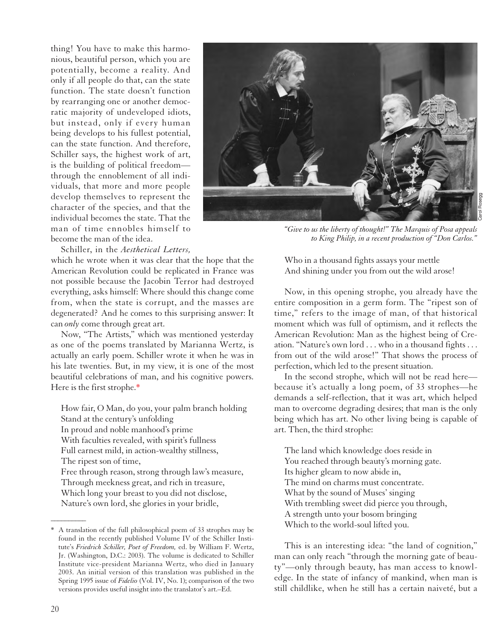thing! You have to make this harmonious, beautiful person, which you are potentially, become a reality. And only if all people do that, can the state function. The state doesn't function by rearranging one or another democratic majority of undeveloped idiots, but instead, only if every human being develops to his fullest potential, can the state function. And therefore, Schiller says, the highest work of art, is the building of political freedom through the ennoblement of all individuals, that more and more people develop themselves to represent the character of the species, and that the individual becomes the state. That the man of time ennobles himself to become the man of the idea.



*"Give to us the liberty of thought!" The Marquis of Posa appeals to King Philip, in a recent production of "Don Carlos."*

#### Schiller, in the *Aesthetical Letters,*

which he wrote when it was clear that the hope that the American Revolution could be replicated in France was not possible because the Jacobin Terror had destroyed everything, asks himself: Where should this change come from, when the state is corrupt, and the masses are degenerated? And he comes to this surprising answer: It can *only* come through great art.

Now, "The Artists," which was mentioned yesterday as one of the poems translated by Marianna Wertz, is actually an early poem. Schiller wrote it when he was in his late twenties. But, in my view, it is one of the most beautiful celebrations of man, and his cognitive powers. Here is the first strophe.\*

How fair, O Man, do you, your palm branch holding Stand at the century's unfolding In proud and noble manhood's prime With faculties revealed, with spirit's fullness Full earnest mild, in action-wealthy stillness, The ripest son of time, Free through reason, strong through law's measure, Through meekness great, and rich in treasure, Which long your breast to you did not disclose, Nature's own lord, she glories in your bridle,

Who in a thousand fights assays your mettle And shining under you from out the wild arose!

Now, in this opening strophe, you already have the entire composition in a germ form. The "ripest son of time," refers to the image of man, of that historical moment which was full of optimism, and it reflects the American Revolution: Man as the highest being of Creation. "Nature's own lord . . . who in a thousand fights . . . from out of the wild arose!" That shows the process of perfection, which led to the present situation.

In the second strophe, which will not be read here because it's actually a long poem, of 33 strophes—he demands a self-reflection, that it was art, which helped man to overcome degrading desires; that man is the only being which has art. No other living being is capable of art. Then, the third strophe:

The land which knowledge does reside in You reached through beauty's morning gate. Its higher gleam to now abide in, The mind on charms must concentrate. What by the sound of Muses' singing With trembling sweet did pierce you through, A strength unto your bosom bringing Which to the world-soul lifted you.

This is an interesting idea: "the land of cognition," man can only reach "through the morning gate of beauty"—only through beauty, has man access to knowledge. In the state of infancy of mankind, when man is still childlike, when he still has a certain naiveté, but a

 $\overline{\phantom{a}}$ 

A translation of the full philosophical poem of 33 strophes may be found in the recently published Volume IV of the Schiller Institute's *Friedrich Schiller, Poet of Freedom,* ed. by William F. Wertz, Jr. (Washington, D.C.: 2003). The volume is dedicated to Schiller Institute vice-president Marianna Wertz, who died in January 2003. An initial version of this translation was published in the Spring 1995 issue of *Fidelio* (Vol. IV, No. 1); comparison of the two versions provides useful insight into the translator's art.–Ed.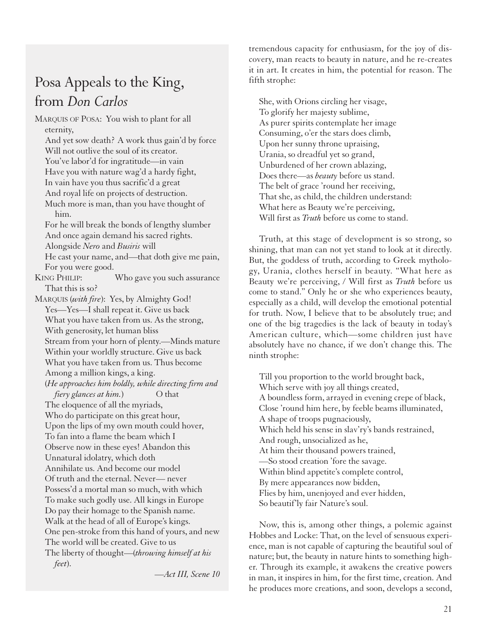## Posa Appeals to the King, from *Don Carlos*

MARQUIS OF POSA: You wish to plant for all eternity, And yet sow death? A work thus gain'd by force Will not outlive the soul of its creator. You've labor'd for ingratitude—in vain Have you with nature wag'd a hardy fight, In vain have you thus sacrific'd a great And royal life on projects of destruction. Much more is man, than you have thought of him. For he will break the bonds of lengthy slumber And once again demand his sacred rights. Alongside *Nero* and *Busiris* will He cast your name, and—that doth give me pain, For you were good. KING PHILIP: Who gave you such assurance That this is so? MARQUIS (*with fire*): Yes, by Almighty God! Yes—Yes—I shall repeat it. Give us back What you have taken from us. As the strong, With generosity, let human bliss Stream from your horn of plenty.—Minds mature Within your worldly structure. Give us back What you have taken from us. Thus become Among a million kings, a king. (*He approaches him boldly, while directing firm and fiery glances at him.*) O that The eloquence of all the myriads, Who do participate on this great hour, Upon the lips of my own mouth could hover, To fan into a flame the beam which I Observe now in these eyes! Abandon this Unnatural idolatry, which doth Annihilate us. And become our model Of truth and the eternal. Never— never Possess'd a mortal man so much, with which To make such godly use. All kings in Europe Do pay their homage to the Spanish name. Walk at the head of all of Europe's kings. One pen-stroke from this hand of yours, and new The world will be created. Give to us The liberty of thought—(*throwing himself at his feet*).

*—Act III, Scene 10*

tremendous capacity for enthusiasm, for the joy of discovery, man reacts to beauty in nature, and he re-creates it in art. It creates in him, the potential for reason. The fifth strophe:

She, with Orions circling her visage, To glorify her majesty sublime, As purer spirits contemplate her image Consuming, o'er the stars does climb, Upon her sunny throne upraising, Urania, so dreadful yet so grand, Unburdened of her crown ablazing, Does there—as *beauty* before us stand. The belt of grace 'round her receiving, That she, as child, the children understand: What here as Beauty we're perceiving, Will first as *Truth* before us come to stand.

Truth, at this stage of development is so strong, so shining, that man can not yet stand to look at it directly. But, the goddess of truth, according to Greek mythology, Urania, clothes herself in beauty. "What here as Beauty we're perceiving, / Will first as *Truth* before us come to stand." Only he or she who experiences beauty, especially as a child, will develop the emotional potential for truth. Now, I believe that to be absolutely true; and one of the big tragedies is the lack of beauty in today's American culture, which—some children just have absolutely have no chance, if we don't change this. The ninth strophe:

Till you proportion to the world brought back, Which serve with joy all things created, A boundless form, arrayed in evening crepe of black, Close 'round him here, by feeble beams illuminated, A shape of troops pugnaciously, Which held his sense in slav'ry's bands restrained, And rough, unsocialized as he, At him their thousand powers trained, —So stood creation 'fore the savage. Within blind appetite's complete control, By mere appearances now bidden, Flies by him, unenjoyed and ever hidden, So beautif'ly fair Nature's soul.

Now, this is, among other things, a polemic against Hobbes and Locke: That, on the level of sensuous experience, man is not capable of capturing the beautiful soul of nature; but, the beauty in nature hints to something higher. Through its example, it awakens the creative powers in man, it inspires in him, for the first time, creation. And he produces more creations, and soon, develops a second,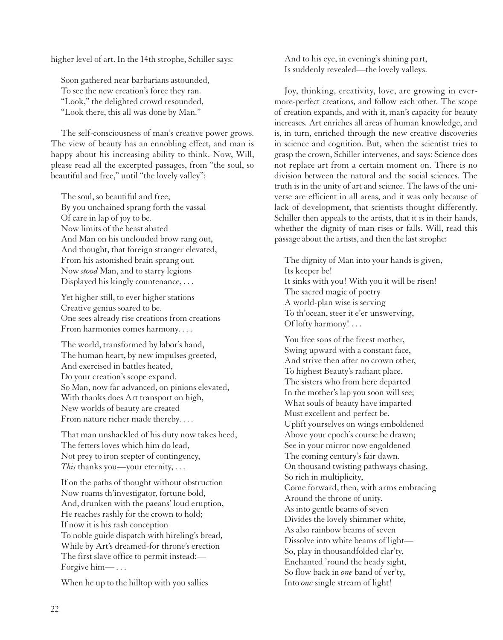higher level of art. In the 14th strophe, Schiller says:

Soon gathered near barbarians astounded, To see the new creation's force they ran. "Look," the delighted crowd resounded, "Look there, this all was done by Man."

The self-consciousness of man's creative power grows. The view of beauty has an ennobling effect, and man is happy about his increasing ability to think. Now, Will, please read all the excerpted passages, from "the soul, so beautiful and free," until "the lovely valley":

The soul, so beautiful and free, By you unchained sprang forth the vassal Of care in lap of joy to be. Now limits of the beast abated And Man on his unclouded brow rang out, And thought, that foreign stranger elevated, From his astonished brain sprang out. Now *stood* Man, and to starry legions Displayed his kingly countenance, . . .

Yet higher still, to ever higher stations Creative genius soared to be. One sees already rise creations from creations From harmonies comes harmony. . . .

The world, transformed by labor's hand, The human heart, by new impulses greeted, And exercised in battles heated, Do your creation's scope expand. So Man, now far advanced, on pinions elevated, With thanks does Art transport on high, New worlds of beauty are created From nature richer made thereby. . . .

That man unshackled of his duty now takes heed, The fetters loves which him do lead, Not prey to iron scepter of contingency, *This* thanks you—your eternity, . . .

If on the paths of thought without obstruction Now roams th'investigator, fortune bold, And, drunken with the paeans' loud eruption, He reaches rashly for the crown to hold; If now it is his rash conception To noble guide dispatch with hireling's bread, While by Art's dreamed-for throne's erection The first slave office to permit instead:— Forgive him— . . .

When he up to the hilltop with you sallies

And to his eye, in evening's shining part, Is suddenly revealed—the lovely valleys.

Joy, thinking, creativity, love, are growing in evermore-perfect creations, and follow each other. The scope of creation expands, and with it, man's capacity for beauty increases. Art enriches all areas of human knowledge, and is, in turn, enriched through the new creative discoveries in science and cognition. But, when the scientist tries to grasp the crown, Schiller intervenes, and says: Science does not replace art from a certain moment on. There is no division between the natural and the social sciences. The truth is in the unity of art and science. The laws of the universe are efficient in all areas, and it was only because of lack of development, that scientists thought differently. Schiller then appeals to the artists, that it is in their hands, whether the dignity of man rises or falls. Will, read this passage about the artists, and then the last strophe:

The dignity of Man into your hands is given, Its keeper be! It sinks with you! With you it will be risen! The sacred magic of poetry A world-plan wise is serving To th'ocean, steer it e'er unswerving, Of lofty harmony! . . .

You free sons of the freest mother, Swing upward with a constant face, And strive then after no crown other, To highest Beauty's radiant place. The sisters who from here departed In the mother's lap you soon will see; What souls of beauty have imparted Must excellent and perfect be. Uplift yourselves on wings emboldened Above your epoch's course be drawn; See in your mirror now engoldened The coming century's fair dawn. On thousand twisting pathways chasing, So rich in multiplicity, Come forward, then, with arms embracing Around the throne of unity. As into gentle beams of seven Divides the lovely shimmer white, As also rainbow beams of seven Dissolve into white beams of light— So, play in thousandfolded clar'ty, Enchanted 'round the heady sight, So flow back in *one* band of ver'ty, Into *one* single stream of light!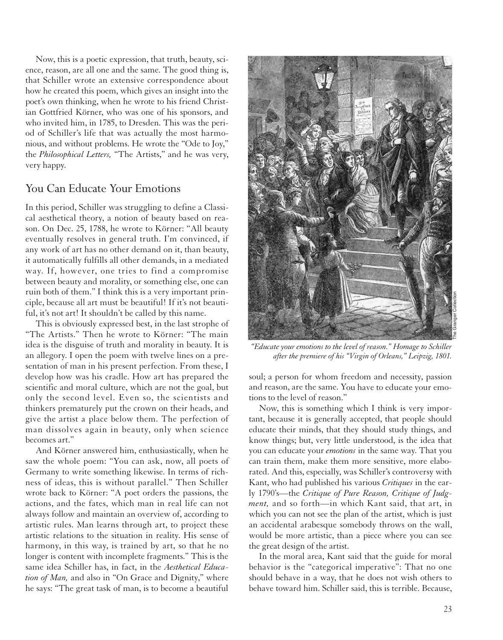Now, this is a poetic expression, that truth, beauty, science, reason, are all one and the same. The good thing is, that Schiller wrote an extensive correspondence about how he created this poem, which gives an insight into the poet's own thinking, when he wrote to his friend Christian Gottfried Körner, who was one of his sponsors, and who invited him, in 1785, to Dresden. This was the period of Schiller's life that was actually the most harmonious, and without problems. He wrote the "Ode to Joy," the *Philosophical Letters,* "The Artists," and he was very, very happy.

#### You Can Educate Your Emotions

In this period, Schiller was struggling to define a Classical aesthetical theory, a notion of beauty based on reason. On Dec. 25, 1788, he wrote to Körner: "All beauty eventually resolves in general truth. I'm convinced, if any work of art has no other demand on it, than beauty, it automatically fulfills all other demands, in a mediated way. If, however, one tries to find a compromise between beauty and morality, or something else, one can ruin both of them." I think this is a very important principle, because all art must be beautiful! If it's not beautiful, it's not art! It shouldn't be called by this name.

This is obviously expressed best, in the last strophe of "The Artists." Then he wrote to Körner: "The main idea is the disguise of truth and morality in beauty. It is an allegory. I open the poem with twelve lines on a presentation of man in his present perfection. From these, I develop how was his cradle. How art has prepared the scientific and moral culture, which are not the goal, but only the second level. Even so, the scientists and thinkers prematurely put the crown on their heads, and give the artist a place below them. The perfection of man dissolves again in beauty, only when science becomes art."

And Körner answered him, enthusiastically, when he saw the whole poem: "You can ask, now, all poets of Germany to write something likewise. In terms of richness of ideas, this is without parallel." Then Schiller wrote back to Körner: "A poet orders the passions, the actions, and the fates, which man in real life can not always follow and maintain an overview of, according to artistic rules. Man learns through art, to project these artistic relations to the situation in reality. His sense of harmony, in this way, is trained by art, so that he no longer is content with incomplete fragments." This is the same idea Schiller has, in fact, in the *Aesthetical Education of Man,* and also in "On Grace and Dignity," where he says: "The great task of man, is to become a beautiful



*"Educate your emotions to the level of reason." Homage to Schiller after the premiere of his "Virgin of Orleans," Leipzig, 1801.*

soul; a person for whom freedom and necessity, passion and reason, are the same. You have to educate your emotions to the level of reason."

Now, this is something which I think is very important, because it is generally accepted, that people should educate their minds, that they should study things, and know things; but, very little understood, is the idea that you can educate your *emotions* in the same way. That you can train them, make them more sensitive, more elaborated. And this, especially, was Schiller's controversy with Kant, who had published his various *Critiques* in the early 1790's—the *Critique of Pure Reason, Critique of Judgment,* and so forth—in which Kant said, that art, in which you can not see the plan of the artist, which is just an accidental arabesque somebody throws on the wall, would be more artistic, than a piece where you can see the great design of the artist.

In the moral area, Kant said that the guide for moral behavior is the "categorical imperative": That no one should behave in a way, that he does not wish others to behave toward him. Schiller said, this is terrible. Because,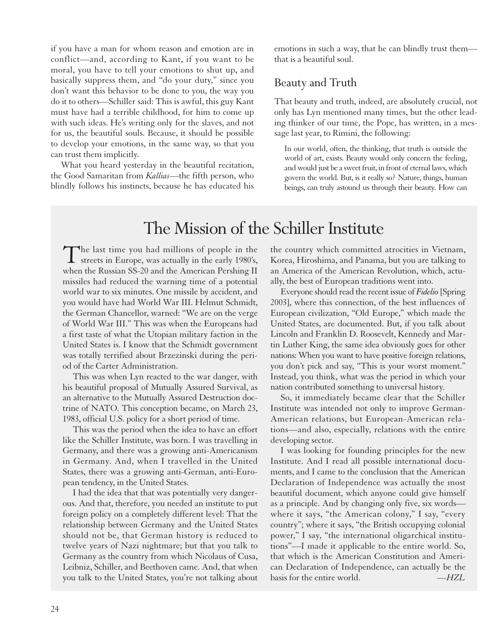if you have a man for whom reason and emotion are in conflict—and, according to Kant, if you want to be moral, you have to tell your emotions to shut up, and basically suppress them, and "do your duty," since you don't want this behavior to be done to you, the way you do it to others—Schiller said: This is awful, this guy Kant must have had a terrible childhood, for him to come up with such ideas. He's writing only for the slaves, and not for us, the beautiful souls. Because, it should be possible to develop your emotions, in the same way, so that you can trust them implicitly.

What you heard yesterday in the beautiful recitation, the Good Samaritan from *Kallias*—the fifth person, who blindly follows his instincts, because he has educated his emotions in such a way, that he can blindly trust them that is a beautiful soul.

## Beauty and Truth

That beauty and truth, indeed, are absolutely crucial, not only has Lyn mentioned many times, but the other leading thinker of our time, the Pope, has written, in a message last year, to Rimini, the following:

In our world, often, the thinking, that truth is outside the world of art, exists. Beauty would only concern the feeling, and would just be a sweet fruit, in front of eternal laws, which govern the world. But, is it really so? Nature, things, human beings, can truly astound us through their beauty. How can

## The Mission of the Schiller Institute

The last time you had millions of people in the streets in Europe, was actually in the early 1980's, when the Russian SS-20 and the American Pershing II missiles had reduced the warning time of a potential world war to six minutes. One missile by accident, and you would have had World War III. Helmut Schmidt, the German Chancellor, warned: "We are on the verge of World War III." This was when the Europeans had a first taste of what the Utopian military faction in the United States is. I know that the Schmidt government was totally terrified about Brzezinski during the period of the Carter Administration.

This was when Lyn reacted to the war danger, with his beautiful proposal of Mutually Assured Survival, as an alternative to the Mutually Assured Destruction doctrine of NATO. This conception became, on March 23, 1983, official U.S. policy for a short period of time.

This was the period when the idea to have an effort like the Schiller Institute, was born. I was travelling in Germany, and there was a growing anti-Americanism in Germany. And, when I travelled in the United States, there was a growing anti-German, anti-European tendency, in the United States.

I had the idea that that was potentially very dangerous. And that, therefore, you needed an institute to put foreign policy on a completely different level: That the relationship between Germany and the United States should not be, that German history is reduced to twelve years of Nazi nightmare; but that you talk to Germany as the country from which Nicolaus of Cusa, Leibniz, Schiller, and Beethoven came. And, that when you talk to the United States, you're not talking about

the country which committed atrocities in Vietnam, Korea, Hiroshima, and Panama, but you are talking to an America of the American Revolution, which, actually, the best of European traditions went into.

Everyone should read the recent issue of *Fidelio* [Spring 2003], where this connection, of the best influences of European civilization, "Old Europe," which made the United States, are documented. But, if you talk about Lincoln and Franklin D. Roosevelt, Kennedy and Martin Luther King, the same idea obviously goes for other nations: When you want to have positive foreign relations, you don't pick and say, "This is your worst moment." Instead, you think, what was the period in which your nation contributed something to universal history.

So, it immediately became clear that the Schiller Institute was intended not only to improve German-American relations, but European-American relations—and also, especially, relations with the entire developing sector.

I was looking for founding principles for the new Institute. And I read all possible international documents, and I came to the conclusion that the American Declaration of Independence was actually the most beautiful document, which anyone could give himself as a principle. And by changing only five, six words where it says, "the American colony," I say, "every country"; where it says, "the British occupying colonial power," I say, "the international oligarchical institutions"—I made it applicable to the entire world. So, that which is the American Constitution and American Declaration of Independence, can actually be the basis for the entire world. *—HZL*